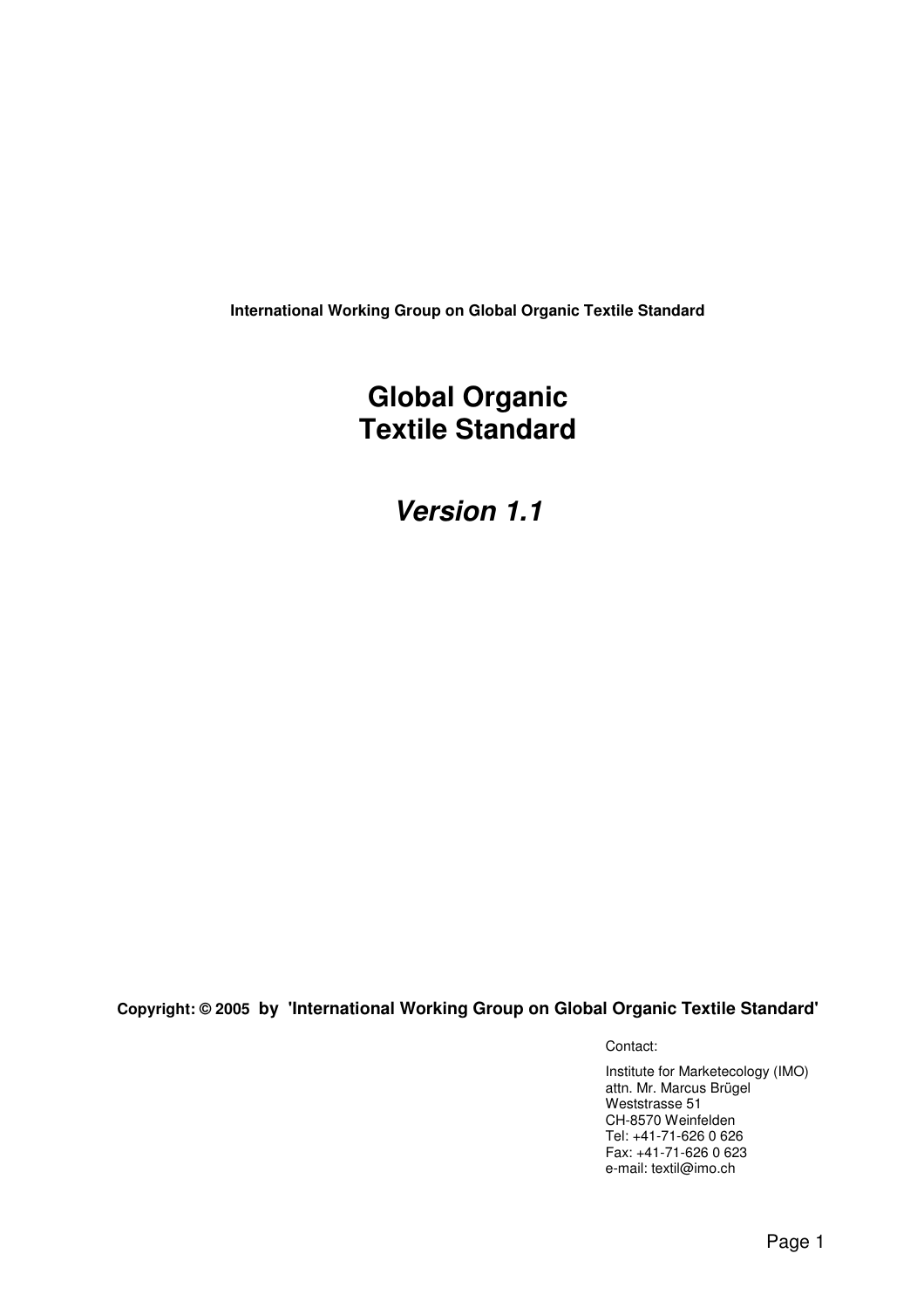**International Working Group on Global Organic Textile Standard** 

# **Global Organic Textile Standard**

**Version 1.1**

**Copyright: © 2005 by 'International Working Group on Global Organic Textile Standard'**

Contact:

Institute for Marketecology (IMO) attn. Mr. Marcus Brügel Weststrasse 51 CH-8570 Weinfelden Tel: +41-71-626 0 626 Fax: +41-71-626 0 623 e-mail: textil@imo.ch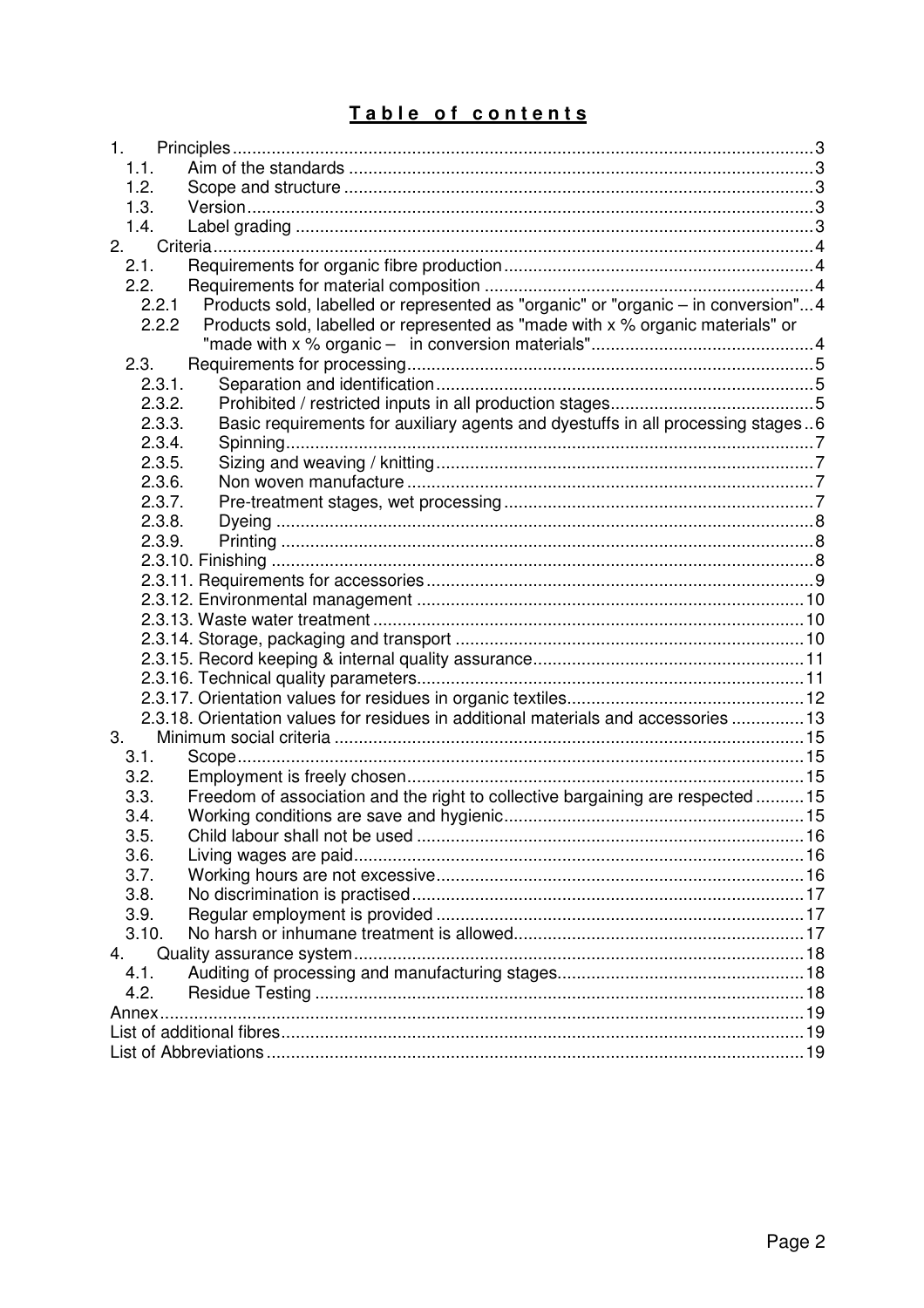# Table of contents

| 1.                                                                                         |  |
|--------------------------------------------------------------------------------------------|--|
| 1.1.                                                                                       |  |
| 1.2.                                                                                       |  |
| 1.3.                                                                                       |  |
| 1.4.                                                                                       |  |
| 2.                                                                                         |  |
| 2.1.                                                                                       |  |
| 2.2.                                                                                       |  |
| Products sold, labelled or represented as "organic" or "organic - in conversion"4<br>2.2.1 |  |
| 2.2.2<br>Products sold, labelled or represented as "made with x % organic materials" or    |  |
|                                                                                            |  |
| 2.3.                                                                                       |  |
| 2.3.1.                                                                                     |  |
| 2.3.2.                                                                                     |  |
| 2.3.3.<br>Basic requirements for auxiliary agents and dyestuffs in all processing stages6  |  |
| 2.3.4.                                                                                     |  |
| 2.3.5.                                                                                     |  |
| 2.3.6.                                                                                     |  |
| 2.3.7.                                                                                     |  |
| 2.3.8.                                                                                     |  |
| 2.3.9.                                                                                     |  |
|                                                                                            |  |
|                                                                                            |  |
|                                                                                            |  |
|                                                                                            |  |
|                                                                                            |  |
|                                                                                            |  |
|                                                                                            |  |
| 2.3.18. Orientation values for residues in additional materials and accessories  13        |  |
| 3.                                                                                         |  |
| 3.1.                                                                                       |  |
| 3.2.                                                                                       |  |
| Freedom of association and the right to collective bargaining are respected 15<br>3.3.     |  |
| 3.4.                                                                                       |  |
| 3.5.                                                                                       |  |
| 3.6.                                                                                       |  |
| 3.7.                                                                                       |  |
| 3.8.                                                                                       |  |
| 3.9.                                                                                       |  |
| 3.10.                                                                                      |  |
| 4.                                                                                         |  |
| 4.1.                                                                                       |  |
| 4.2.                                                                                       |  |
| Annex                                                                                      |  |
|                                                                                            |  |
|                                                                                            |  |
|                                                                                            |  |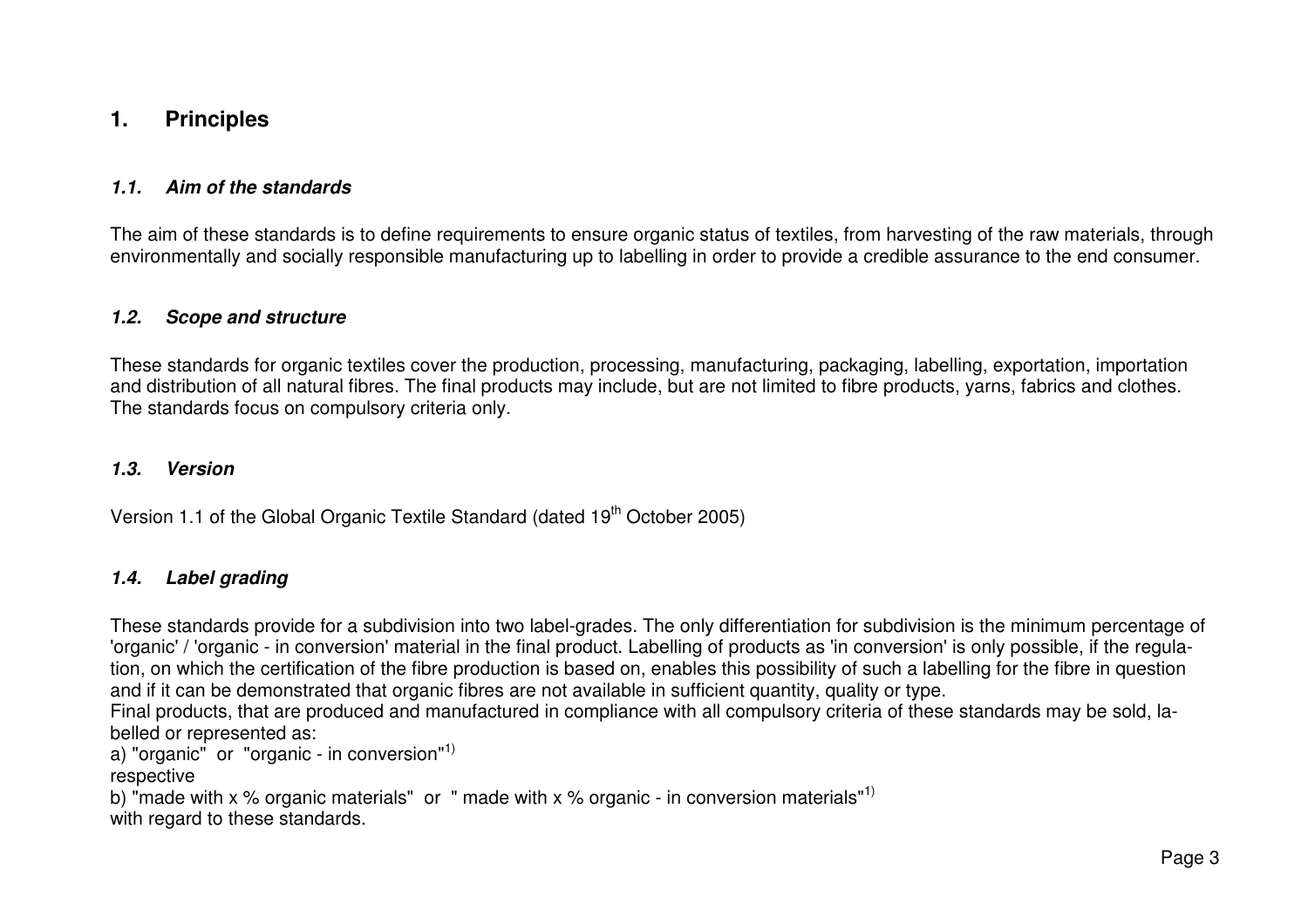# **1. Principles**

#### **1.1. Aim of the standards**

The aim of these standards is to define requirements to ensure organic status of textiles, from harvesting of the raw materials, through environmentally and socially responsible manufacturing up to labelling in order to provide a credible assurance to the end consumer.

#### **1.2. Scope and structure**

These standards for organic textiles cover the production, processing, manufacturing, packaging, labelling, exportation, importation and distribution of all natural fibres. The final products may include, but are not limited to fibre products, yarns, fabrics and clothes. The standards focus on compulsory criteria only.

#### **1.3. Version**

Version 1.1 of the Global Organic Textile Standard (dated 19<sup>th</sup> October 2005)

#### **1.4. Label grading**

These standards provide for a subdivision into two label-grades. The only differentiation for subdivision is the minimum percentage of 'organic' / 'organic - in conversion' material in the final product. Labelling of products as 'in conversion' is only possible, if the regulation, on which the certification of the fibre production is based on, enables this possibility of such a labelling for the fibre in question and if it can be demonstrated that organic fibres are not available in sufficient quantity, quality or type.

 Final products, that are produced and manufactured in compliance with all compulsory criteria of these standards may be sold, labelled or represented as:

a) "organic" or "organic - in conversion"<sup>1)</sup>

respective

b) "made with x % organic materials" or " made with x % organic - in conversion materials"<sup>1)</sup> with regard to these standards.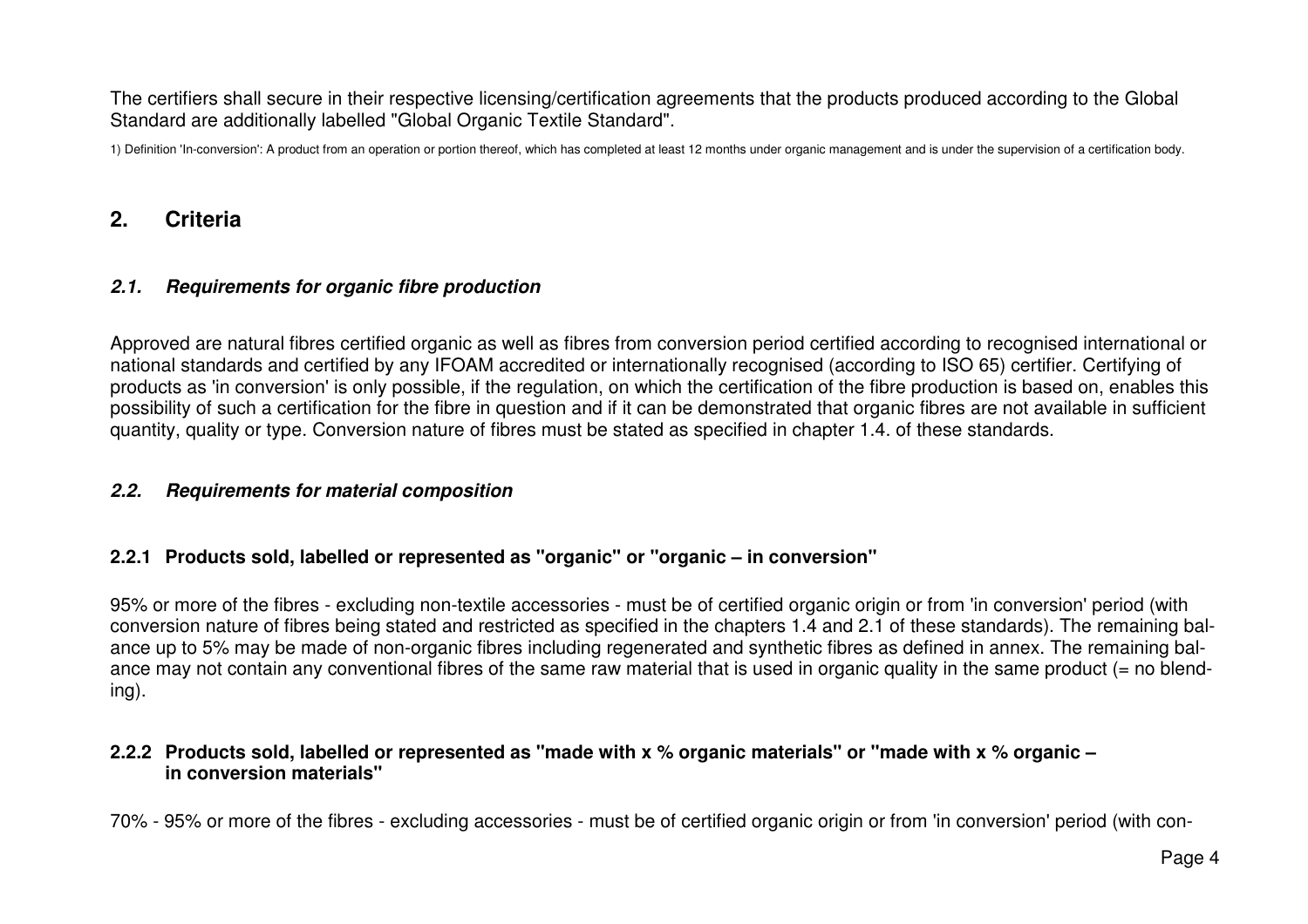The certifiers shall secure in their respective licensing/certification agreements that the products produced according to the Global Standard are additionally labelled "Global Organic Textile Standard".

1) Definition 'In-conversion': A product from an operation or portion thereof, which has completed at least 12 months under organic management and is under the supervision of a certification body.

# **2. Criteria**

## **2.1. Requirements for organic fibre production**

Approved are natural fibres certified organic as well as fibres from conversion period certified according to recognised international or national standards and certified by any IFOAM accredited or internationally recognised (according to ISO 65) certifier. Certifying of products as 'in conversion' is only possible, if the regulation, on which the certification of the fibre production is based on, enables this possibility of such a certification for the fibre in question and if it can be demonstrated that organic fibres are not available in sufficient quantity, quality or type. Conversion nature of fibres must be stated as specified in chapter 1.4. of these standards.

#### **2.2. Requirements for material composition**

#### **2.2.1 Products sold, labelled or represented as "organic" or "organic – in conversion"**

95% or more of the fibres - excluding non-textile accessories - must be of certified organic origin or from 'in conversion' period (with conversion nature of fibres being stated and restricted as specified in the chapters 1.4 and 2.1 of these standards). The remaining balance up to 5% may be made of non-organic fibres including regenerated and synthetic fibres as defined in annex. The remaining balance may not contain any conventional fibres of the same raw material that is used in organic quality in the same product (= no blending).

#### **2.2.2 Products sold, labelled or represented as "made with x % organic materials" or "made with x % organic – in conversion materials"**

70% - 95% or more of the fibres - excluding accessories - must be of certified organic origin or from 'in conversion' period (with con-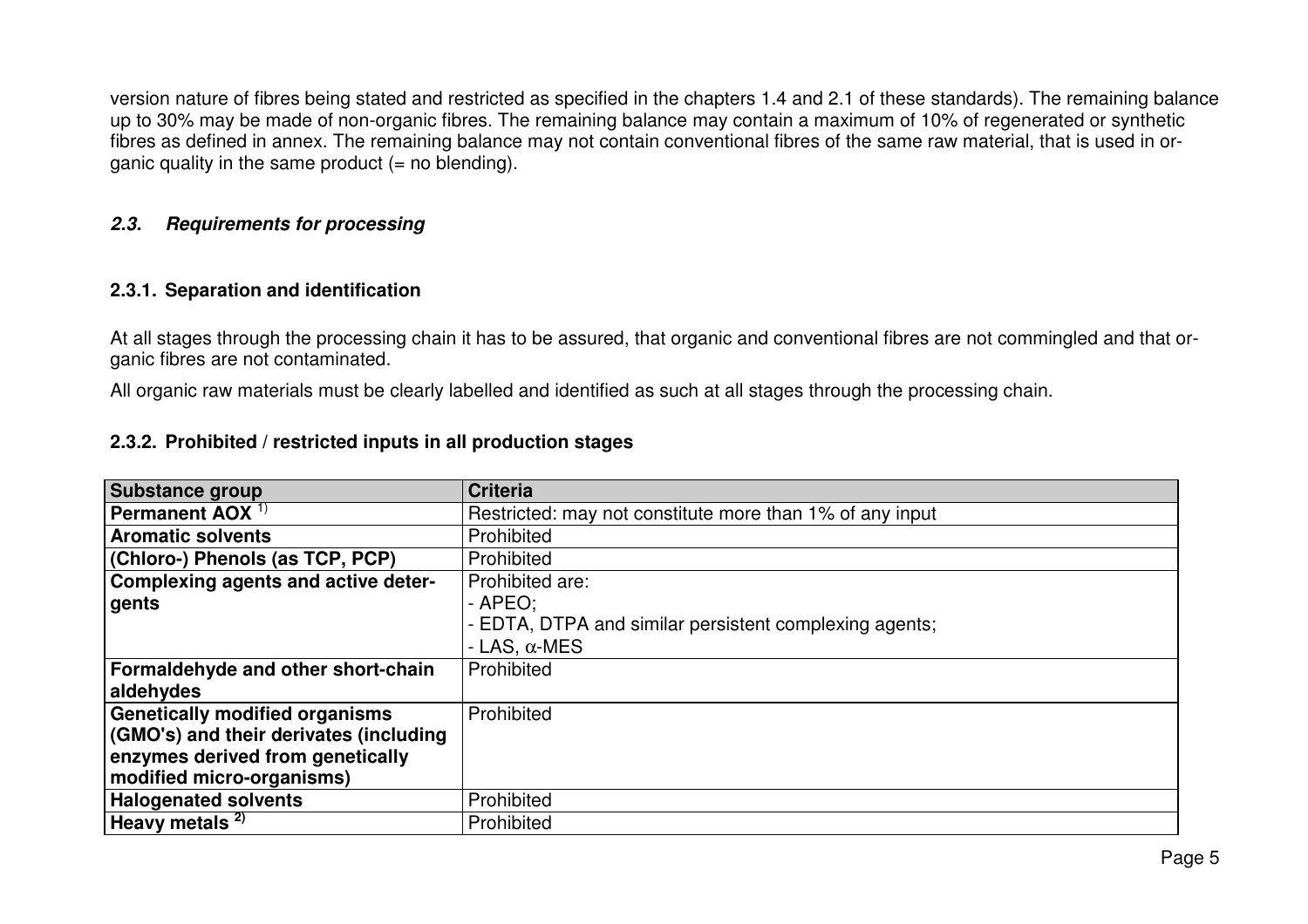version nature of fibres being stated and restricted as specified in the chapters 1.4 and 2.1 of these standards). The remaining balance up to 30% may be made of non-organic fibres. The remaining balance may contain a maximum of 10% of regenerated or synthetic fibres as defined in annex. The remaining balance may not contain conventional fibres of the same raw material, that is used in organic quality in the same product  $(=$  no blending).

#### **2.3. Requirements for processing**

## **2.3.1. Separation and identification**

At all stages through the processing chain it has to be assured, that organic and conventional fibres are not commingled and that organic fibres are not contaminated.

All organic raw materials must be clearly labelled and identified as such at all stages through the processing chain.

## **2.3.2. Prohibited / restricted inputs in all production stages**

| <b>Substance group</b>                 | <b>Criteria</b>                                          |
|----------------------------------------|----------------------------------------------------------|
| Permanent AOX $1$                      | Restricted: may not constitute more than 1% of any input |
| <b>Aromatic solvents</b>               | Prohibited                                               |
| (Chloro-) Phenols (as TCP, PCP)        | Prohibited                                               |
| Complexing agents and active deter-    | Prohibited are:                                          |
| gents                                  | $-$ APEO:                                                |
|                                        | - EDTA, DTPA and similar persistent complexing agents;   |
|                                        | - LAS, $\alpha$ -MES                                     |
| Formaldehyde and other short-chain     | Prohibited                                               |
| aldehydes                              |                                                          |
| <b>Genetically modified organisms</b>  | Prohibited                                               |
| (GMO's) and their derivates (including |                                                          |
| enzymes derived from genetically       |                                                          |
| modified micro-organisms)              |                                                          |
| <b>Halogenated solvents</b>            | Prohibited                                               |
| Heavy metals <sup>2)</sup>             | Prohibited                                               |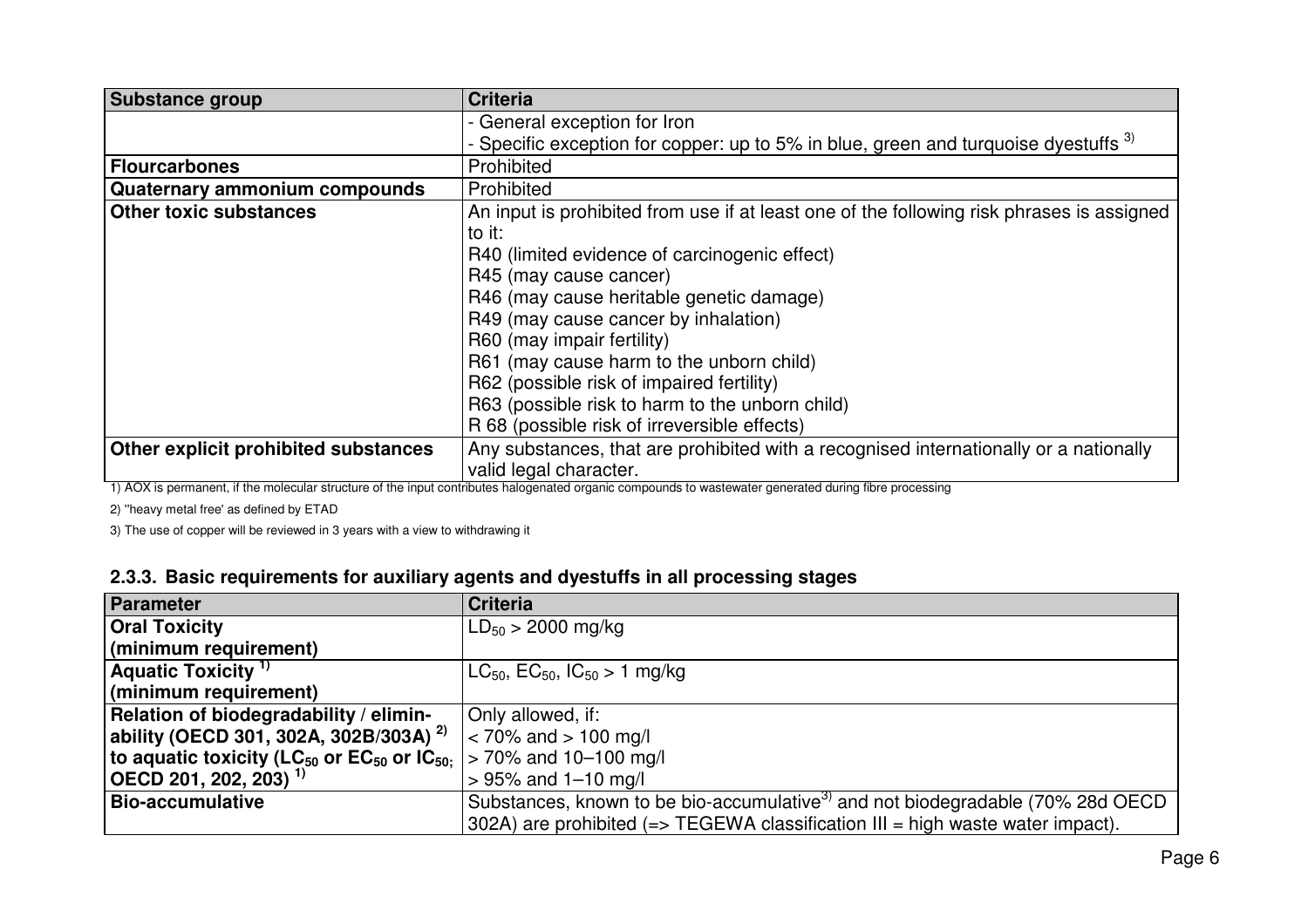| <b>Substance group</b>               | <b>Criteria</b>                                                                           |
|--------------------------------------|-------------------------------------------------------------------------------------------|
|                                      | - General exception for Iron                                                              |
|                                      | - Specific exception for copper: up to 5% in blue, green and turquoise dyestuffs 3)       |
| <b>Flourcarbones</b>                 | Prohibited                                                                                |
| Quaternary ammonium compounds        | Prohibited                                                                                |
| <b>Other toxic substances</b>        | An input is prohibited from use if at least one of the following risk phrases is assigned |
|                                      | to it:                                                                                    |
|                                      | R40 (limited evidence of carcinogenic effect)                                             |
|                                      | R45 (may cause cancer)                                                                    |
|                                      | R46 (may cause heritable genetic damage)                                                  |
|                                      | R49 (may cause cancer by inhalation)                                                      |
|                                      | R60 (may impair fertility)                                                                |
|                                      | R61 (may cause harm to the unborn child)                                                  |
|                                      | R62 (possible risk of impaired fertility)                                                 |
|                                      | R63 (possible risk to harm to the unborn child)                                           |
|                                      | R 68 (possible risk of irreversible effects)                                              |
| Other explicit prohibited substances | Any substances, that are prohibited with a recognised internationally or a nationally     |
|                                      | valid legal character.                                                                    |

1) AOX is permanent, if the molecular structure of the input contributes halogenated organic compounds to wastewater generated during fibre processing

2) ''heavy metal free' as defined by ETAD

3) The use of copper will be reviewed in 3 years with a view to withdrawing it

# **2.3.3. Basic requirements for auxiliary agents and dyestuffs in all processing stages**

| <b>Parameter</b>                                                                                        | <b>Criteria</b>                                                                             |
|---------------------------------------------------------------------------------------------------------|---------------------------------------------------------------------------------------------|
| <b>Oral Toxicity</b>                                                                                    | $LD_{50} > 2000$ mg/kg                                                                      |
| (minimum requirement)                                                                                   |                                                                                             |
| Aquatic Toxicity <sup>1)</sup>                                                                          | $LC_{50}$ , $EC_{50}$ , $IC_{50} > 1$ mg/kg                                                 |
| (minimum requirement)                                                                                   |                                                                                             |
| Relation of biodegradability / elimin-                                                                  | Only allowed, if:                                                                           |
| ability (OECD 301, 302A, 302B/303A) <sup>2)</sup>                                                       | $\approx$ 70% and $> 100$ mg/l                                                              |
| to aquatic toxicity (LC <sub>50</sub> or EC <sub>50</sub> or IC <sub>50:</sub> $ >70\%$ and 10–100 mg/l |                                                                                             |
| $\vert$ OECD 201, 202, 203) <sup>1</sup>                                                                | $> 95\%$ and 1-10 mg/l                                                                      |
| <b>Bio-accumulative</b>                                                                                 | Substances, known to be bio-accumulative <sup>3)</sup> and not biodegradable (70% 28d OECD) |
|                                                                                                         | 302A) are prohibited $(=>$ TEGEWA classification III = high waste water impact).            |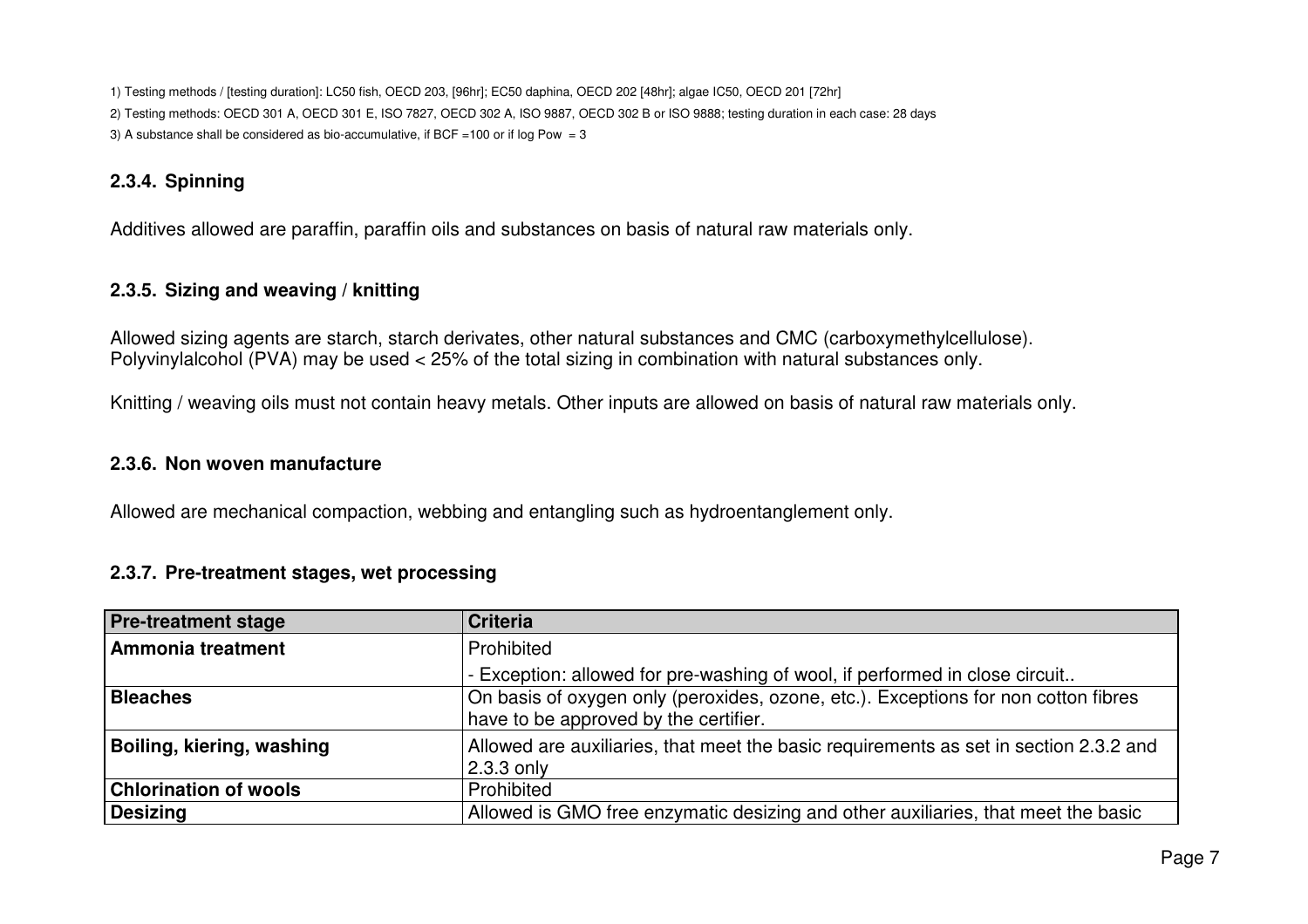1) Testing methods / [testing duration]: LC50 fish, OECD 203, [96hr]; EC50 daphina, OECD 202 [48hr]; algae IC50, OECD 201 [72hr] 2) Testing methods: OECD 301 A, OECD 301 E, ISO 7827, OECD 302 A, ISO 9887, OECD 302 B or ISO 9888; testing duration in each case: 28 days 3) A substance shall be considered as bio-accumulative, if BCF =100 or if  $log Pow = 3$ 

# **2.3.4. Spinning**

Additives allowed are paraffin, paraffin oils and substances on basis of natural raw materials only.

# **2.3.5. Sizing and weaving / knitting**

Allowed sizing agents are starch, starch derivates, other natural substances and CMC (carboxymethylcellulose). Polyvinylalcohol (PVA) may be used < 25% of the total sizing in combination with natural substances only.

Knitting / weaving oils must not contain heavy metals. Other inputs are allowed on basis of natural raw materials only.

#### **2.3.6. Non woven manufacture**

Allowed are mechanical compaction, webbing and entangling such as hydroentanglement only.

# **2.3.7. Pre-treatment stages, wet processing**

| <b>Pre-treatment stage</b>   | <b>Criteria</b>                                                                                                             |
|------------------------------|-----------------------------------------------------------------------------------------------------------------------------|
| Ammonia treatment            | Prohibited                                                                                                                  |
|                              | - Exception: allowed for pre-washing of wool, if performed in close circuit                                                 |
| <b>Bleaches</b>              | On basis of oxygen only (peroxides, ozone, etc.). Exceptions for non cotton fibres<br>have to be approved by the certifier. |
| Boiling, kiering, washing    | Allowed are auxiliaries, that meet the basic requirements as set in section 2.3.2 and<br>2.3.3 only                         |
| <b>Chlorination of wools</b> | Prohibited                                                                                                                  |
| <b>Desizing</b>              | Allowed is GMO free enzymatic desizing and other auxiliaries, that meet the basic                                           |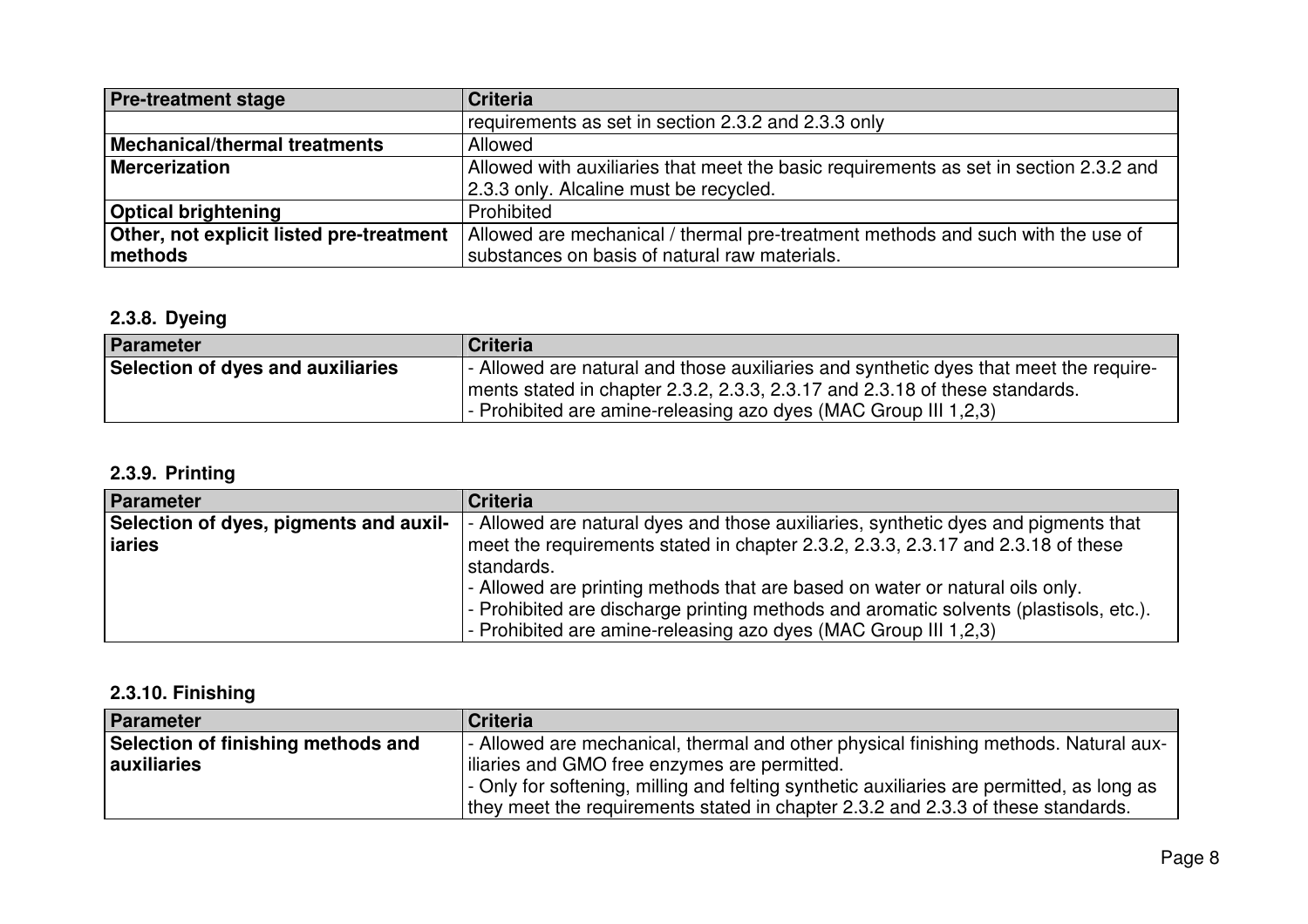| <b>Pre-treatment stage</b>               | <b>Criteria</b>                                                                       |
|------------------------------------------|---------------------------------------------------------------------------------------|
|                                          | requirements as set in section 2.3.2 and 2.3.3 only                                   |
| <b>Mechanical/thermal treatments</b>     | Allowed                                                                               |
| <b>Mercerization</b>                     | Allowed with auxiliaries that meet the basic requirements as set in section 2.3.2 and |
|                                          | 2.3.3 only. Alcaline must be recycled.                                                |
| <b>Optical brightening</b>               | Prohibited                                                                            |
| Other, not explicit listed pre-treatment | Allowed are mechanical / thermal pre-treatment methods and such with the use of       |
| methods                                  | substances on basis of natural raw materials.                                         |

# **2.3.8. Dyeing**

| Parameter                         | <b>Criteria</b>                                                                       |
|-----------------------------------|---------------------------------------------------------------------------------------|
| Selection of dyes and auxiliaries | - Allowed are natural and those auxiliaries and synthetic dyes that meet the require- |
|                                   | ments stated in chapter 2.3.2, 2.3.3, 2.3.17 and 2.3.18 of these standards.           |
|                                   | $\vert$ - Prohibited are amine-releasing azo dyes (MAC Group III 1,2,3)               |

# **2.3.9. Printing**

| <b>Parameter</b>                       | <b>Criteria</b>                                                                       |
|----------------------------------------|---------------------------------------------------------------------------------------|
| Selection of dyes, pigments and auxil- | - Allowed are natural dyes and those auxiliaries, synthetic dyes and pigments that    |
| iaries                                 | meet the requirements stated in chapter 2.3.2, 2.3.3, 2.3.17 and 2.3.18 of these      |
|                                        | standards.                                                                            |
|                                        | - Allowed are printing methods that are based on water or natural oils only.          |
|                                        | - Prohibited are discharge printing methods and aromatic solvents (plastisols, etc.). |
|                                        | - Prohibited are amine-releasing azo dyes (MAC Group III 1,2,3)                       |

# **2.3.10. Finishing**

| Parameter                          | Criteria                                                                                  |
|------------------------------------|-------------------------------------------------------------------------------------------|
| Selection of finishing methods and | - Allowed are mechanical, thermal and other physical finishing methods. Natural aux-      |
| <b>auxiliaries</b>                 | iliaries and GMO free enzymes are permitted.                                              |
|                                    | - Only for softening, milling and felting synthetic auxiliaries are permitted, as long as |
|                                    | they meet the requirements stated in chapter 2.3.2 and 2.3.3 of these standards.          |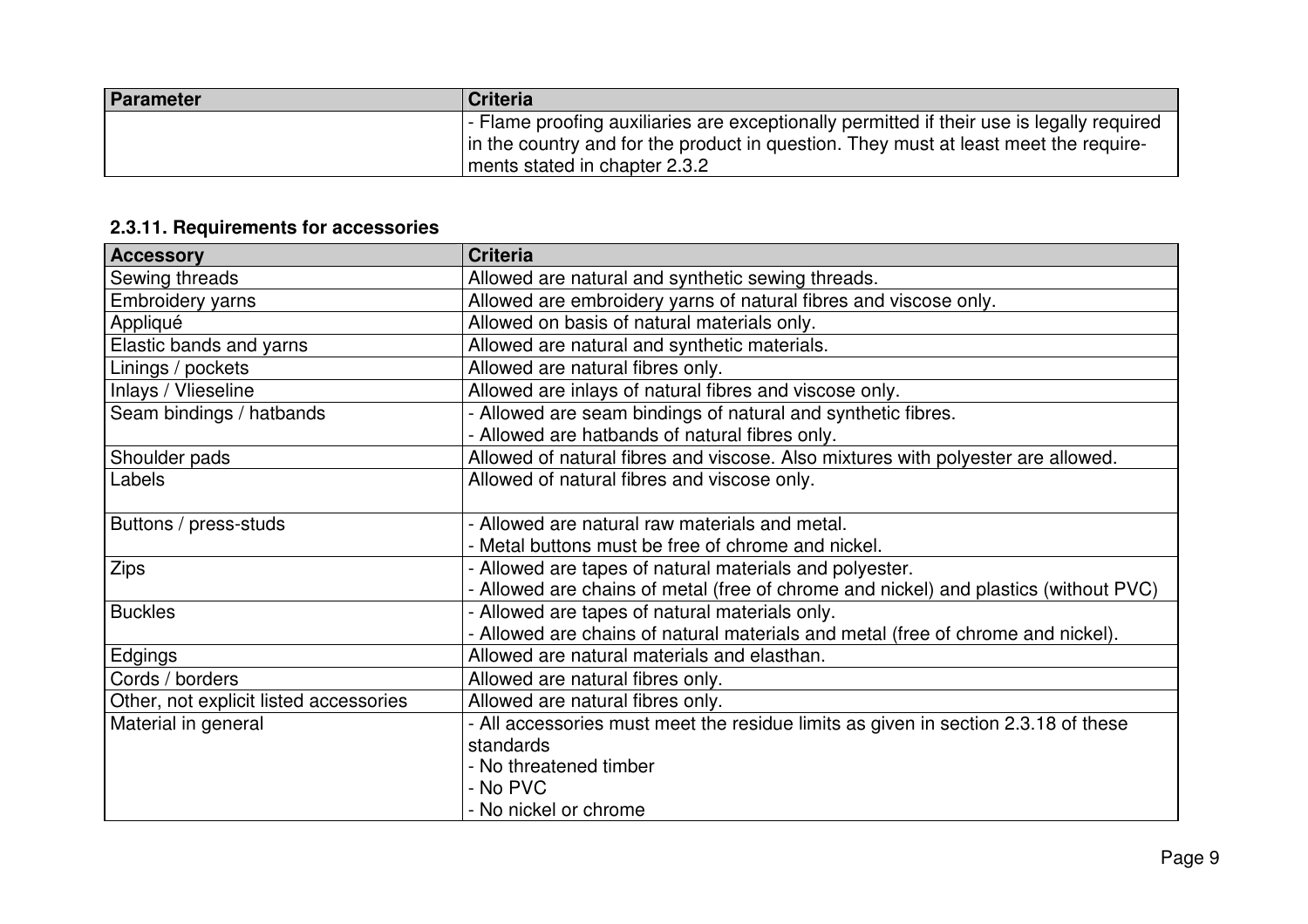| Parameter | Criteria                                                                                  |
|-----------|-------------------------------------------------------------------------------------------|
|           | - Flame proofing auxiliaries are exceptionally permitted if their use is legally required |
|           | In the country and for the product in question. They must at least meet the require-      |
|           | I ments stated in chapter 2.3.2                                                           |

# **2.3.11. Requirements for accessories**

| <b>Accessory</b>                       | <b>Criteria</b>                                                                      |
|----------------------------------------|--------------------------------------------------------------------------------------|
| Sewing threads                         | Allowed are natural and synthetic sewing threads.                                    |
| Embroidery yarns                       | Allowed are embroidery yarns of natural fibres and viscose only.                     |
| Appliqué                               | Allowed on basis of natural materials only.                                          |
| Elastic bands and yarns                | Allowed are natural and synthetic materials.                                         |
| Linings / pockets                      | Allowed are natural fibres only.                                                     |
| Inlays / Vlieseline                    | Allowed are inlays of natural fibres and viscose only.                               |
| Seam bindings / hatbands               | - Allowed are seam bindings of natural and synthetic fibres.                         |
|                                        | - Allowed are hatbands of natural fibres only.                                       |
| Shoulder pads                          | Allowed of natural fibres and viscose. Also mixtures with polyester are allowed.     |
| Labels                                 | Allowed of natural fibres and viscose only.                                          |
|                                        |                                                                                      |
| Buttons / press-studs                  | - Allowed are natural raw materials and metal.                                       |
|                                        | - Metal buttons must be free of chrome and nickel.                                   |
| <b>Zips</b>                            | - Allowed are tapes of natural materials and polyester.                              |
|                                        | - Allowed are chains of metal (free of chrome and nickel) and plastics (without PVC) |
| <b>Buckles</b>                         | - Allowed are tapes of natural materials only.                                       |
|                                        | - Allowed are chains of natural materials and metal (free of chrome and nickel).     |
| Edgings                                | Allowed are natural materials and elasthan.                                          |
| Cords / borders                        | Allowed are natural fibres only.                                                     |
| Other, not explicit listed accessories | Allowed are natural fibres only.                                                     |
| Material in general                    | - All accessories must meet the residue limits as given in section 2.3.18 of these   |
|                                        | standards                                                                            |
|                                        | - No threatened timber                                                               |
|                                        | - No PVC                                                                             |
|                                        | - No nickel or chrome                                                                |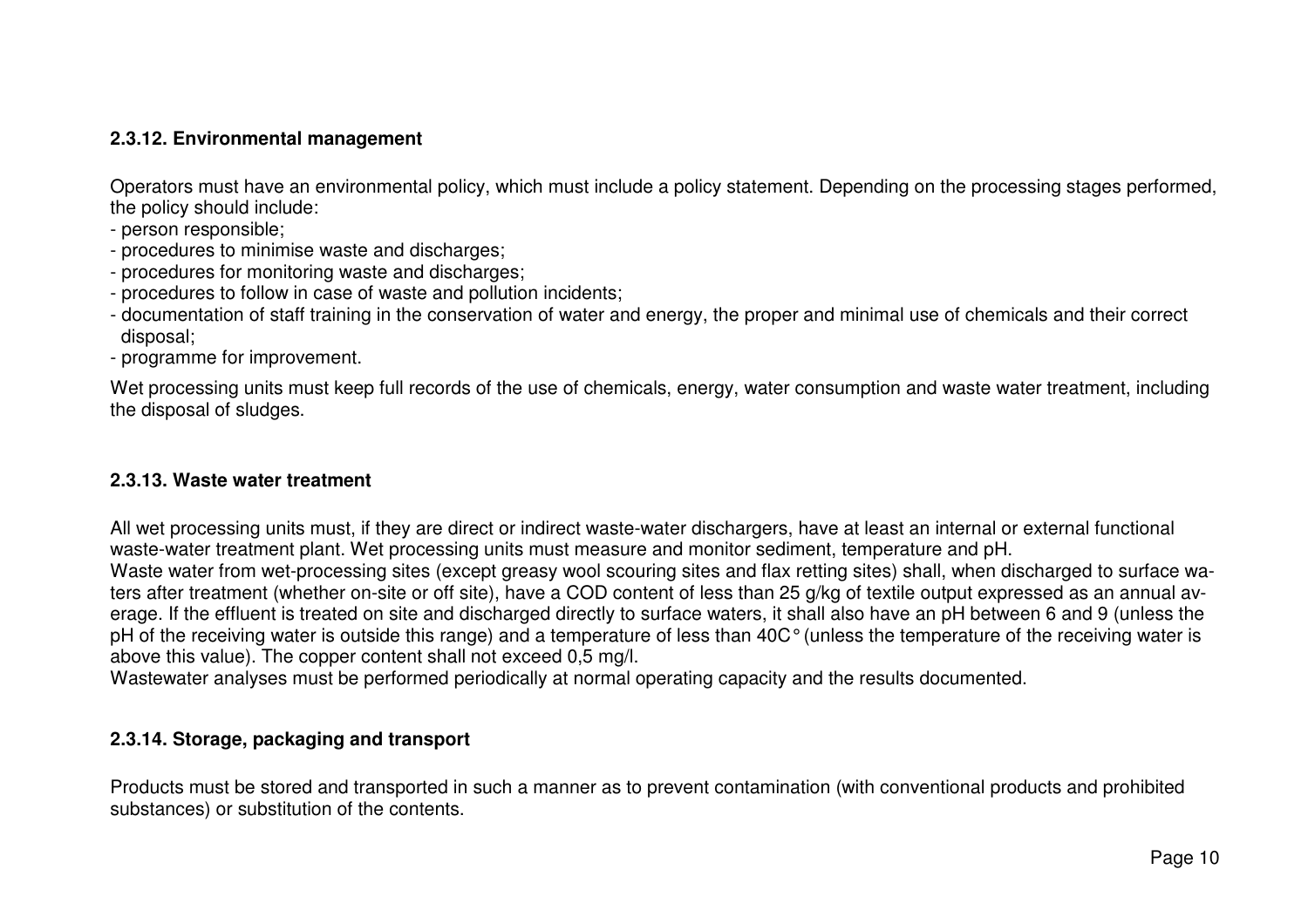# **2.3.12. Environmental management**

Operators must have an environmental policy, which must include a policy statement. Depending on the processing stages performed, the policy should include:

- person responsible;
- procedures to minimise waste and discharges;
- procedures for monitoring waste and discharges;
- procedures to follow in case of waste and pollution incidents;
- documentation of staff training in the conservation of water and energy, the proper and minimal use of chemicals and their correct disposal;
- programme for improvement.

Wet processing units must keep full records of the use of chemicals, energy, water consumption and waste water treatment, including the disposal of sludges.

#### **2.3.13. Waste water treatment**

All wet processing units must, if they are direct or indirect waste-water dischargers, have at least an internal or external functional waste-water treatment plant. Wet processing units must measure and monitor sediment, temperature and pH.

 Waste water from wet-processing sites (except greasy wool scouring sites and flax retting sites) shall, when discharged to surface waters after treatment (whether on-site or off site), have a COD content of less than 25 g/kg of textile output expressed as an annual average. If the effluent is treated on site and discharged directly to surface waters, it shall also have an pH between 6 and 9 (unless the pH of the receiving water is outside this range) and a temperature of less than 40C° (unless the temperature of the receiving water is above this value). The copper content shall not exceed 0,5 mg/l.

Wastewater analyses must be performed periodically at normal operating capacity and the results documented.

#### **2.3.14. Storage, packaging and transport**

Products must be stored and transported in such a manner as to prevent contamination (with conventional products and prohibited substances) or substitution of the contents.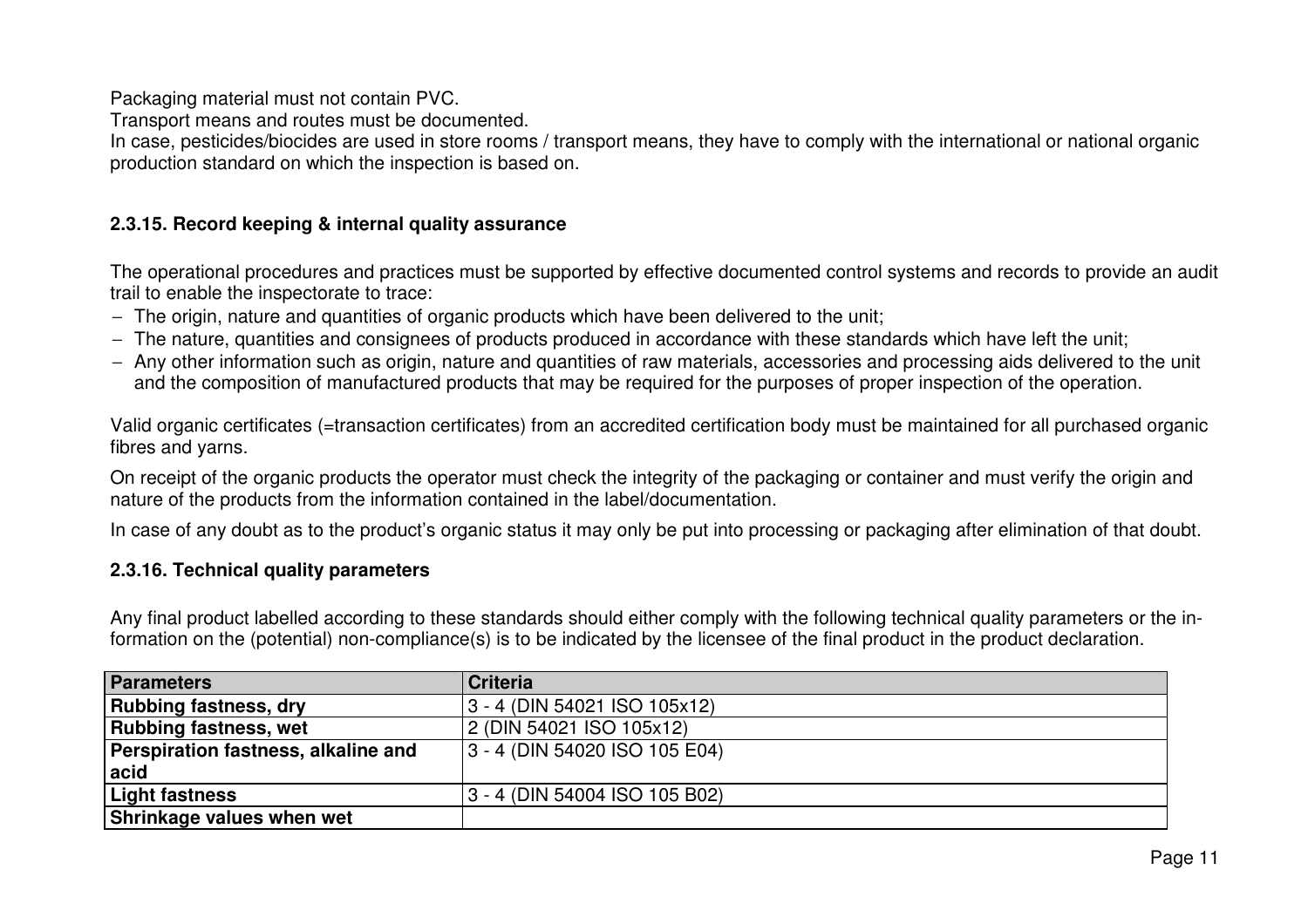Packaging material must not contain PVC.

Transport means and routes must be documented.

 In case, pesticides/biocides are used in store rooms / transport means, they have to comply with the international or national organic production standard on which the inspection is based on.

## **2.3.15. Record keeping & internal quality assurance**

The operational procedures and practices must be supported by effective documented control systems and records to provide an audit trail to enable the inspectorate to trace:

- − The origin, nature and quantities of organic products which have been delivered to the unit;
- − The nature, quantities and consignees of products produced in accordance with these standards which have left the unit;
- − Any other information such as origin, nature and quantities of raw materials, accessories and processing aids delivered to the unit and the composition of manufactured products that may be required for the purposes of proper inspection of the operation.

Valid organic certificates (=transaction certificates) from an accredited certification body must be maintained for all purchased organic fibres and yarns.

On receipt of the organic products the operator must check the integrity of the packaging or container and must verify the origin and nature of the products from the information contained in the label/documentation.

In case of any doubt as to the product's organic status it may only be put into processing or packaging after elimination of that doubt.

## **2.3.16. Technical quality parameters**

Any final product labelled according to these standards should either comply with the following technical quality parameters or the information on the (potential) non-compliance(s) is to be indicated by the licensee of the final product in the product declaration.

| Parameters                          | <b>Criteria</b>               |
|-------------------------------------|-------------------------------|
| <b>Rubbing fastness, dry</b>        | 3 - 4 (DIN 54021 ISO 105x12)  |
| <b>Rubbing fastness, wet</b>        | 2 (DIN 54021 ISO 105x12)      |
| Perspiration fastness, alkaline and | 3 - 4 (DIN 54020 ISO 105 E04) |
| acid                                |                               |
| Light fastness                      | 3 - 4 (DIN 54004 ISO 105 B02) |
| <b>Shrinkage values when wet</b>    |                               |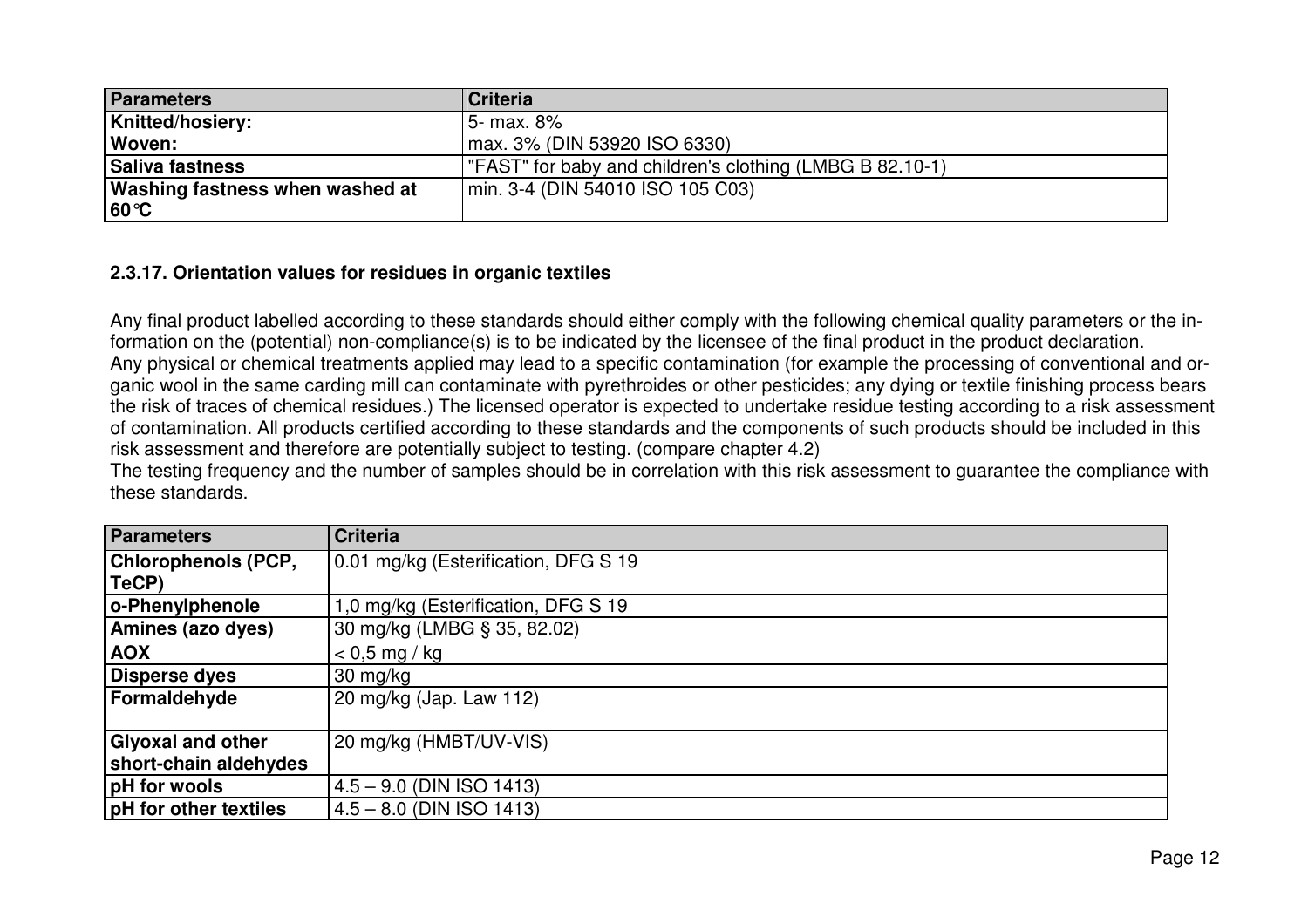| Parameters                             | <b>Criteria</b>                                          |
|----------------------------------------|----------------------------------------------------------|
| <b>Knitted/hosiery:</b>                | 5- max. 8%                                               |
| Woven:                                 | max. 3% (DIN 53920 ISO 6330)                             |
| Saliva fastness                        | "FAST" for baby and children's clothing (LMBG B 82.10-1) |
| <b>Washing fastness when washed at</b> | min. 3-4 (DIN 54010 ISO 105 C03)                         |
| $ 60^{\circ}C $                        |                                                          |

# **2.3.17. Orientation values for residues in organic textiles**

Any final product labelled according to these standards should either comply with the following chemical quality parameters or the information on the (potential) non-compliance(s) is to be indicated by the licensee of the final product in the product declaration. Any physical or chemical treatments applied may lead to a specific contamination (for example the processing of conventional and organic wool in the same carding mill can contaminate with pyrethroides or other pesticides; any dying or textile finishing process bears the risk of traces of chemical residues.) The licensed operator is expected to undertake residue testing according to a risk assessment of contamination. All products certified according to these standards and the components of such products should be included in this risk assessment and therefore are potentially subject to testing. (compare chapter 4.2)

 The testing frequency and the number of samples should be in correlation with this risk assessment to guarantee the compliance with these standards.

| <b>Parameters</b>            | <b>Criteria</b>                      |
|------------------------------|--------------------------------------|
| <b>Chlorophenols (PCP,</b>   | 0.01 mg/kg (Esterification, DFG S 19 |
| TeCP)                        |                                      |
| o-Phenylphenole              | 1,0 mg/kg (Esterification, DFG S 19) |
| Amines (azo dyes)            | 30 mg/kg (LMBG § 35, 82.02)          |
| <b>AOX</b>                   | $< 0.5$ mg / kg                      |
| Disperse dyes                | $30 \text{ mg/kg}$                   |
| Formaldehyde                 | 20 mg/kg (Jap. Law 112)              |
| <b>Glyoxal and other</b>     | 20 mg/kg (HMBT/UV-VIS)               |
| short-chain aldehydes        |                                      |
| <b>pH</b> for wools          | $4.5 - 9.0$ (DIN ISO 1413)           |
| <b>pH</b> for other textiles | $4.5 - 8.0$ (DIN ISO 1413)           |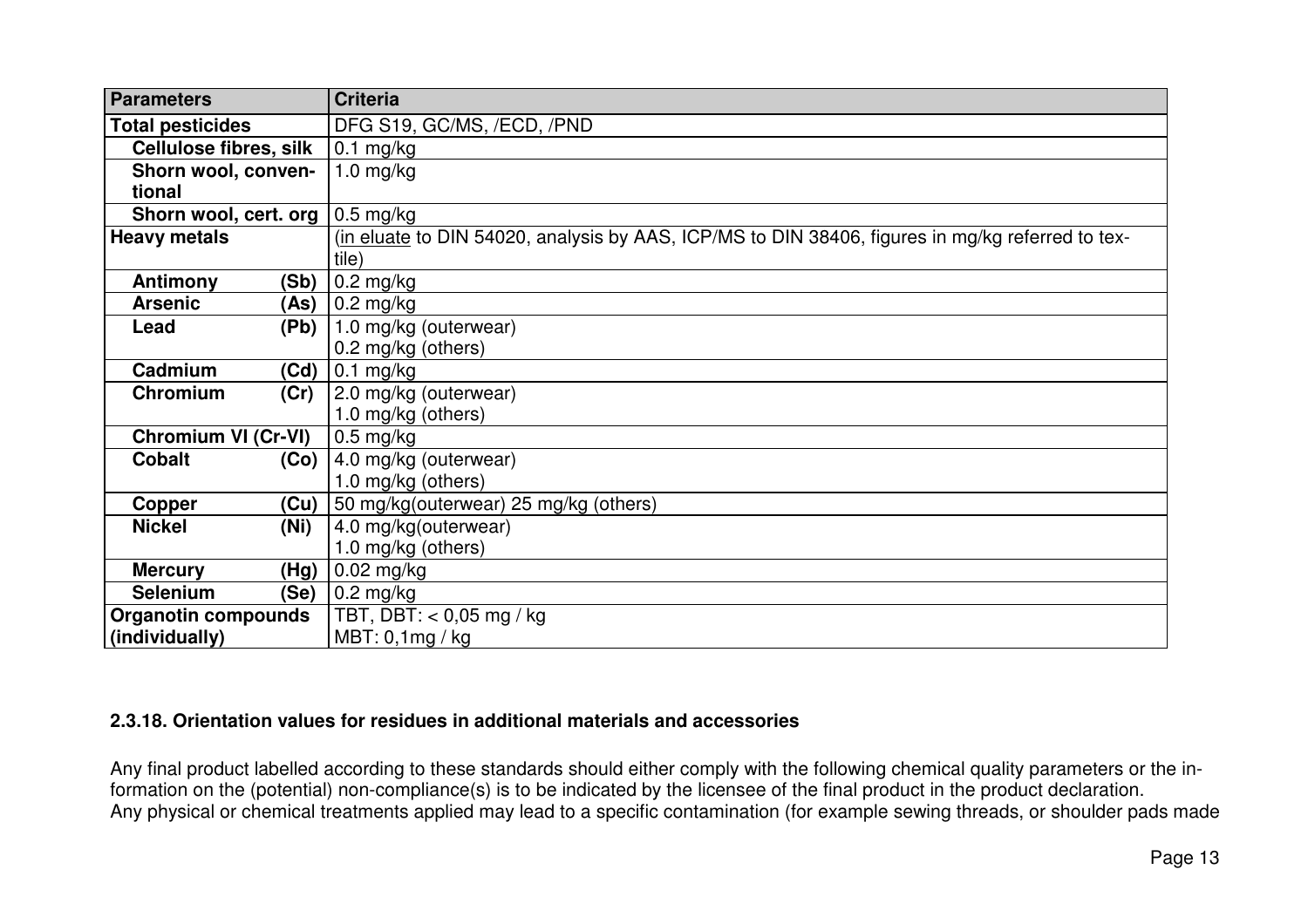| <b>Parameters</b>                 |      | <b>Criteria</b>                                                                                  |
|-----------------------------------|------|--------------------------------------------------------------------------------------------------|
| <b>Total pesticides</b>           |      | DFG S19, GC/MS, /ECD, /PND                                                                       |
| <b>Cellulose fibres, silk</b>     |      | $\vert 0.1 \rangle$ mg/kg                                                                        |
| Shorn wool, conven-               |      | $1.0$ mg/kg                                                                                      |
| tional                            |      |                                                                                                  |
| Shorn wool, cert. org   0.5 mg/kg |      |                                                                                                  |
| <b>Heavy metals</b>               |      | (in eluate to DIN 54020, analysis by AAS, ICP/MS to DIN 38406, figures in mg/kg referred to tex- |
|                                   |      | tile)                                                                                            |
| Antimony                          | (Sb) | $\vert$ 0.2 mg/kg                                                                                |
| <b>Arsenic</b>                    |      | $(As)$ 0.2 mg/kg                                                                                 |
| Lead                              |      | $(Pb)$   1.0 mg/kg (outerwear)                                                                   |
|                                   |      | 0.2 mg/kg (others)                                                                               |
| Cadmium                           |      | $(Cd)$   0.1 mg/kg                                                                               |
| Chromium                          | (Cr) | $ 2.0$ mg/kg (outerwear)                                                                         |
|                                   |      | 1.0 mg/kg (others)                                                                               |
| <b>Chromium VI (Cr-VI)</b>        |      | $0.5$ mg/kg                                                                                      |
| <b>Cobalt</b>                     |      | $(Co)$ 4.0 mg/kg (outerwear)                                                                     |
|                                   |      | 1.0 mg/kg (others)                                                                               |
| Copper                            |      | $(Cu)$ 50 mg/kg(outerwear) 25 mg/kg (others)                                                     |
| <b>Nickel</b>                     | (Ni) | 4.0 mg/kg(outerwear)                                                                             |
|                                   |      | 1.0 mg/kg (others)                                                                               |
| <b>Mercury</b>                    | (Hg) | $\vert$ 0.02 mg/kg                                                                               |
| <b>Selenium</b>                   | (Se) | $\vert$ 0.2 mg/kg                                                                                |
| <b>Organotin compounds</b>        |      | TBT, DBT: $<$ 0,05 mg / kg                                                                       |
| (individually)                    |      | MBT: 0, 1mg / kg                                                                                 |

## **2.3.18. Orientation values for residues in additional materials and accessories**

Any final product labelled according to these standards should either comply with the following chemical quality parameters or the information on the (potential) non-compliance(s) is to be indicated by the licensee of the final product in the product declaration. Any physical or chemical treatments applied may lead to a specific contamination (for example sewing threads, or shoulder pads made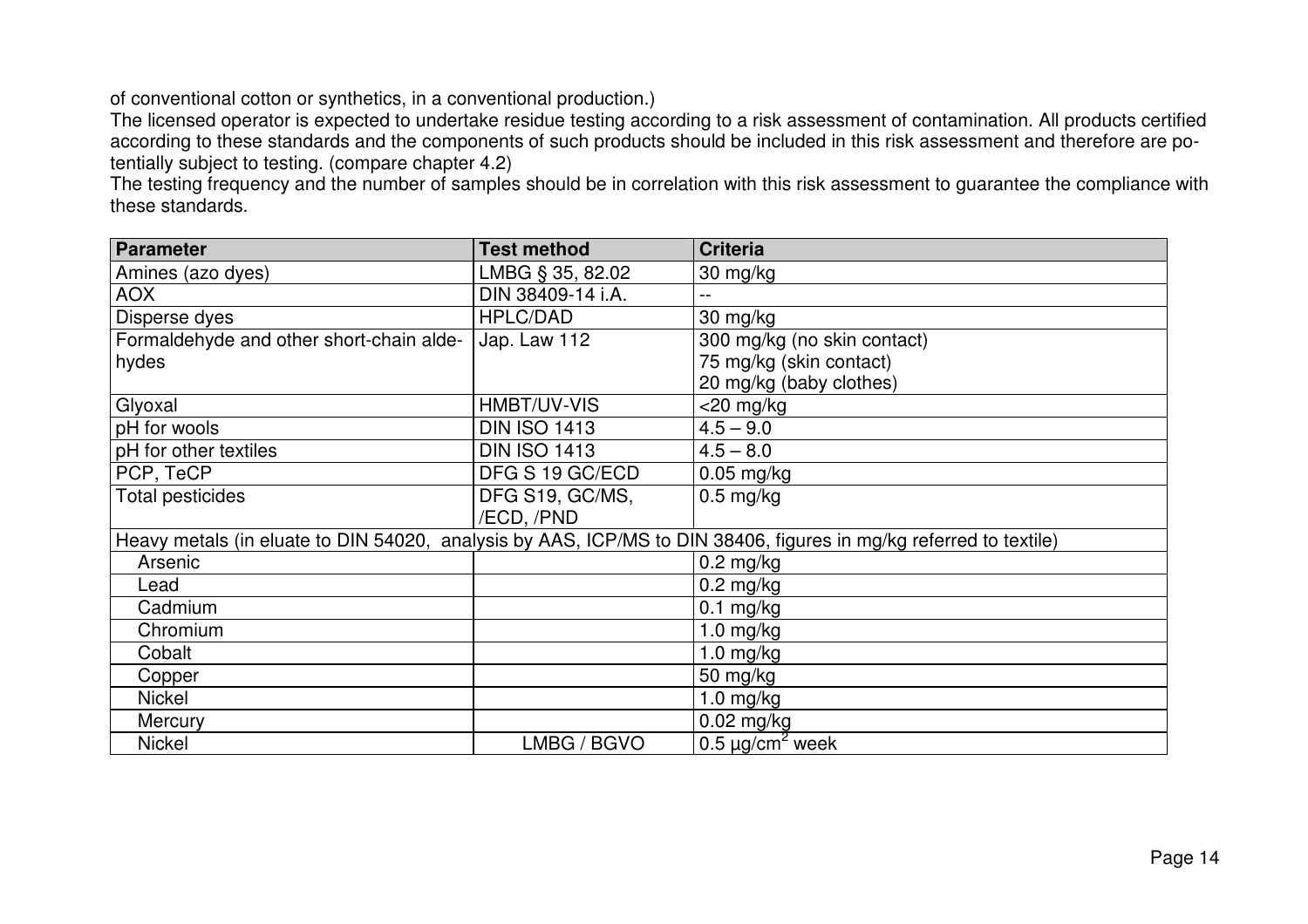of conventional cotton or synthetics, in a conventional production.)

 The licensed operator is expected to undertake residue testing according to a risk assessment of contamination. All products certified according to these standards and the components of such products should be included in this risk assessment and therefore are potentially subject to testing. (compare chapter 4.2)

 The testing frequency and the number of samples should be in correlation with this risk assessment to guarantee the compliance with these standards.

| <b>Parameter</b>                         | <b>Test method</b>  | <b>Criteria</b>                                                                                                   |
|------------------------------------------|---------------------|-------------------------------------------------------------------------------------------------------------------|
| Amines (azo dyes)                        | LMBG § 35, 82.02    | $30 \text{ mg/kg}$                                                                                                |
| <b>AOX</b>                               | DIN 38409-14 i.A.   |                                                                                                                   |
| Disperse dyes                            | <b>HPLC/DAD</b>     | 30 mg/kg                                                                                                          |
| Formaldehyde and other short-chain alde- | Jap. Law 112        | 300 mg/kg (no skin contact)                                                                                       |
| hydes                                    |                     | 75 mg/kg (skin contact)                                                                                           |
|                                          |                     | 20 mg/kg (baby clothes)                                                                                           |
| Glyoxal                                  | HMBT/UV-VIS         | $<$ 20 mg/kg                                                                                                      |
| pH for wools                             | <b>DIN ISO 1413</b> | $4.5 - 9.0$                                                                                                       |
| pH for other textiles                    | <b>DIN ISO 1413</b> | $4.5 - 8.0$                                                                                                       |
| PCP, TeCP                                | DFG S 19 GC/ECD     | $0.05$ mg/kg                                                                                                      |
| <b>Total pesticides</b>                  | DFG S19, GC/MS,     | $0.5$ mg/kg                                                                                                       |
|                                          | /ECD, /PND          |                                                                                                                   |
|                                          |                     | Heavy metals (in eluate to DIN 54020, analysis by AAS, ICP/MS to DIN 38406, figures in mg/kg referred to textile) |
| Arsenic                                  |                     | $0.2 \text{ mg/kg}$                                                                                               |
| Lead                                     |                     | $0.2$ mg/kg                                                                                                       |
| Cadmium                                  |                     | $0.1$ mg/kg                                                                                                       |
| Chromium                                 |                     | $1.0$ mg/kg                                                                                                       |
| Cobalt                                   |                     | $1.0$ mg/kg                                                                                                       |
| Copper                                   |                     | 50 mg/kg                                                                                                          |
| <b>Nickel</b>                            |                     | 1.0 $mg/kg$                                                                                                       |
| Mercury                                  |                     | $0.02$ mg/kg                                                                                                      |
| <b>Nickel</b>                            | LMBG / BGVO         | 0.5 $\mu$ g/cm <sup>2</sup> week                                                                                  |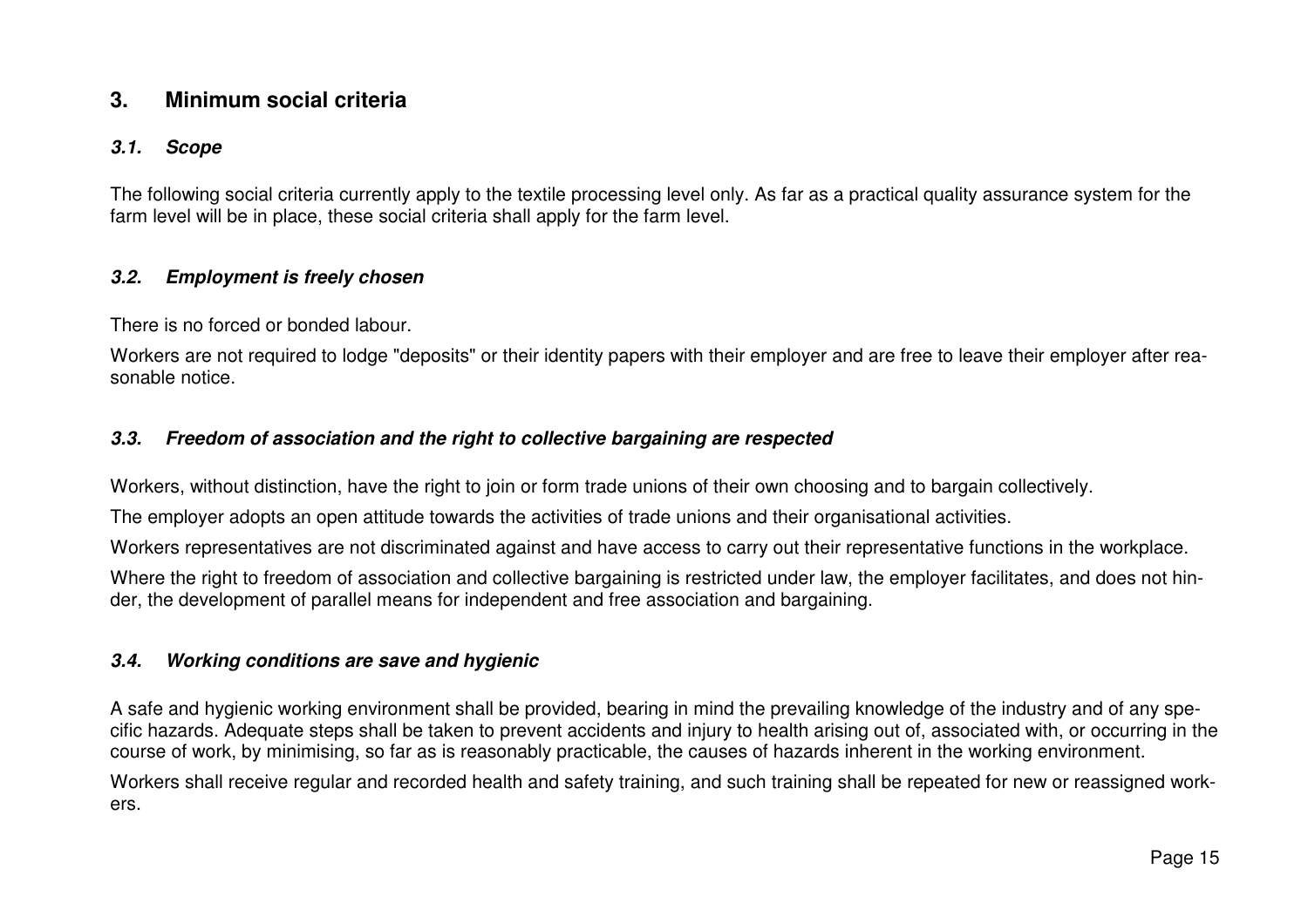# **3. Minimum social criteria**

#### **3.1. Scope**

The following social criteria currently apply to the textile processing level only. As far as a practical quality assurance system for the farm level will be in place, these social criteria shall apply for the farm level.

#### **3.2. Employment is freely chosen**

There is no forced or bonded labour.

Workers are not required to lodge "deposits" or their identity papers with their employer and are free to leave their employer after reasonable notice.

#### **3.3. Freedom of association and the right to collective bargaining are respected**

Workers, without distinction, have the right to join or form trade unions of their own choosing and to bargain collectively.

The employer adopts an open attitude towards the activities of trade unions and their organisational activities.

Workers representatives are not discriminated against and have access to carry out their representative functions in the workplace.

Where the right to freedom of association and collective bargaining is restricted under law, the employer facilitates, and does not hinder, the development of parallel means for independent and free association and bargaining.

## **3.4. Working conditions are save and hygienic**

A safe and hygienic working environment shall be provided, bearing in mind the prevailing knowledge of the industry and of any specific hazards. Adequate steps shall be taken to prevent accidents and injury to health arising out of, associated with, or occurring in the course of work, by minimising, so far as is reasonably practicable, the causes of hazards inherent in the working environment.

Workers shall receive regular and recorded health and safety training, and such training shall be repeated for new or reassigned workers.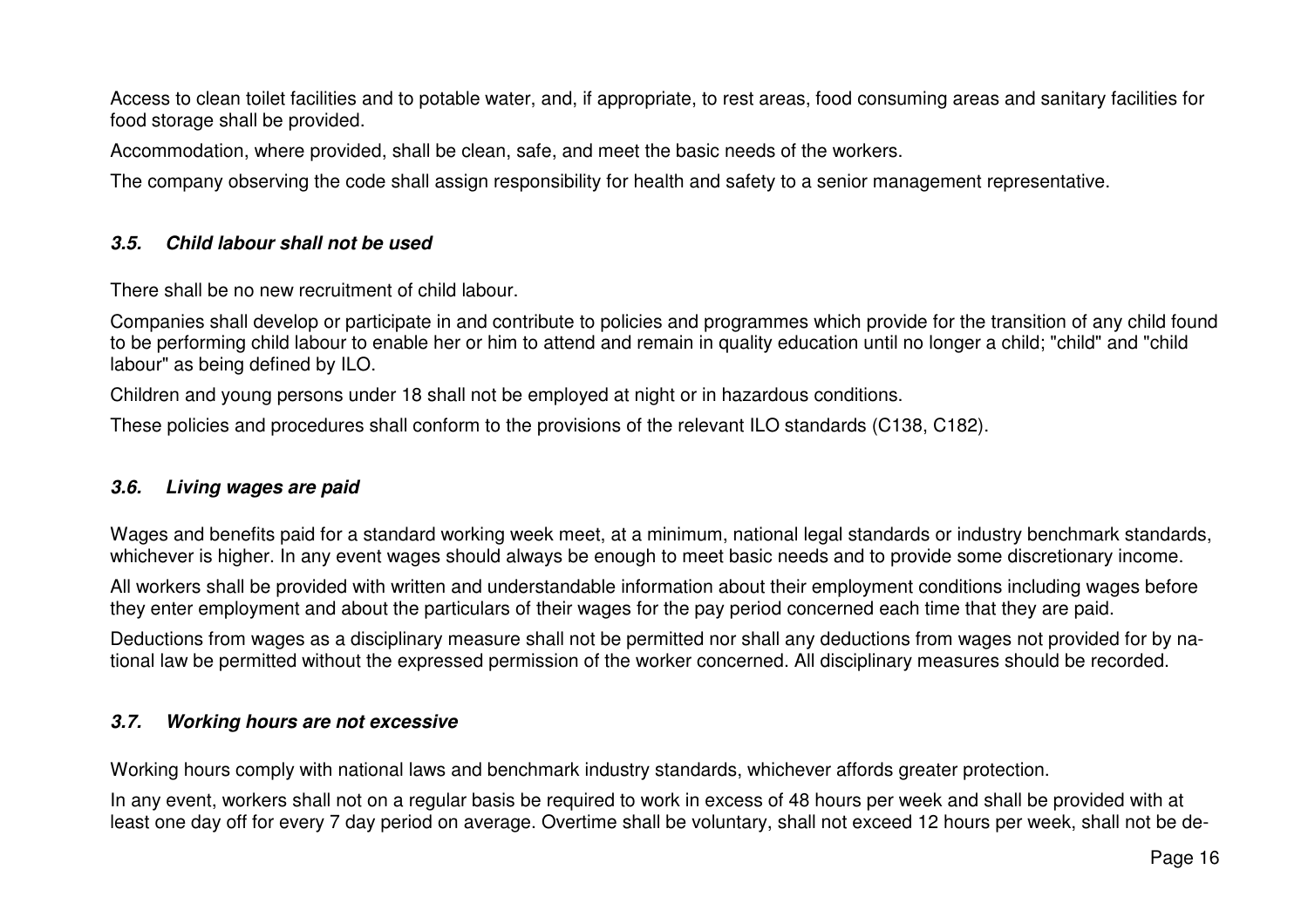Access to clean toilet facilities and to potable water, and, if appropriate, to rest areas, food consuming areas and sanitary facilities for food storage shall be provided.

Accommodation, where provided, shall be clean, safe, and meet the basic needs of the workers.

The company observing the code shall assign responsibility for health and safety to a senior management representative.

#### **3.5. Child labour shall not be used**

There shall be no new recruitment of child labour.

Companies shall develop or participate in and contribute to policies and programmes which provide for the transition of any child found to be performing child labour to enable her or him to attend and remain in quality education until no longer a child; "child" and "child labour" as being defined by ILO.

Children and young persons under 18 shall not be employed at night or in hazardous conditions.

These policies and procedures shall conform to the provisions of the relevant ILO standards (C138, C182).

#### **3.6. Living wages are paid**

Wages and benefits paid for a standard working week meet, at a minimum, national legal standards or industry benchmark standards, whichever is higher. In any event wages should always be enough to meet basic needs and to provide some discretionary income.

All workers shall be provided with written and understandable information about their employment conditions including wages before they enter employment and about the particulars of their wages for the pay period concerned each time that they are paid.

Deductions from wages as a disciplinary measure shall not be permitted nor shall any deductions from wages not provided for by national law be permitted without the expressed permission of the worker concerned. All disciplinary measures should be recorded.

#### **3.7. Working hours are not excessive**

Working hours comply with national laws and benchmark industry standards, whichever affords greater protection.

In any event, workers shall not on a regular basis be required to work in excess of 48 hours per week and shall be provided with at least one day off for every 7 day period on average. Overtime shall be voluntary, shall not exceed 12 hours per week, shall not be de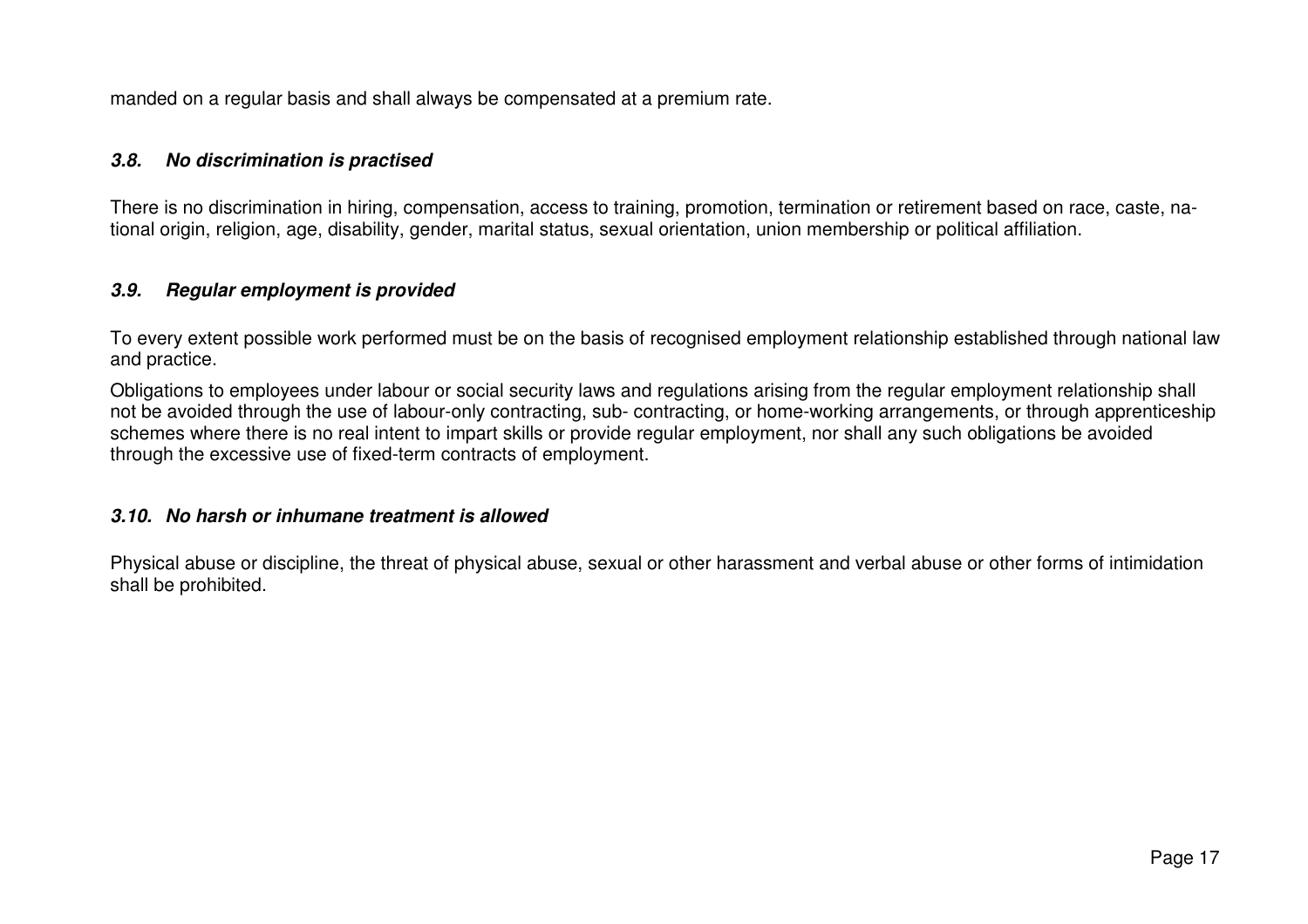manded on a regular basis and shall always be compensated at a premium rate.

#### **3.8. No discrimination is practised**

There is no discrimination in hiring, compensation, access to training, promotion, termination or retirement based on race, caste, national origin, religion, age, disability, gender, marital status, sexual orientation, union membership or political affiliation.

#### **3.9. Regular employment is provided**

To every extent possible work performed must be on the basis of recognised employment relationship established through national law and practice.

Obligations to employees under labour or social security laws and regulations arising from the regular employment relationship shall not be avoided through the use of labour-only contracting, sub- contracting, or home-working arrangements, or through apprenticeship schemes where there is no real intent to impart skills or provide regular employment, nor shall any such obligations be avoided through the excessive use of fixed-term contracts of employment.

#### **3.10. No harsh or inhumane treatment is allowed**

Physical abuse or discipline, the threat of physical abuse, sexual or other harassment and verbal abuse or other forms of intimidation shall be prohibited.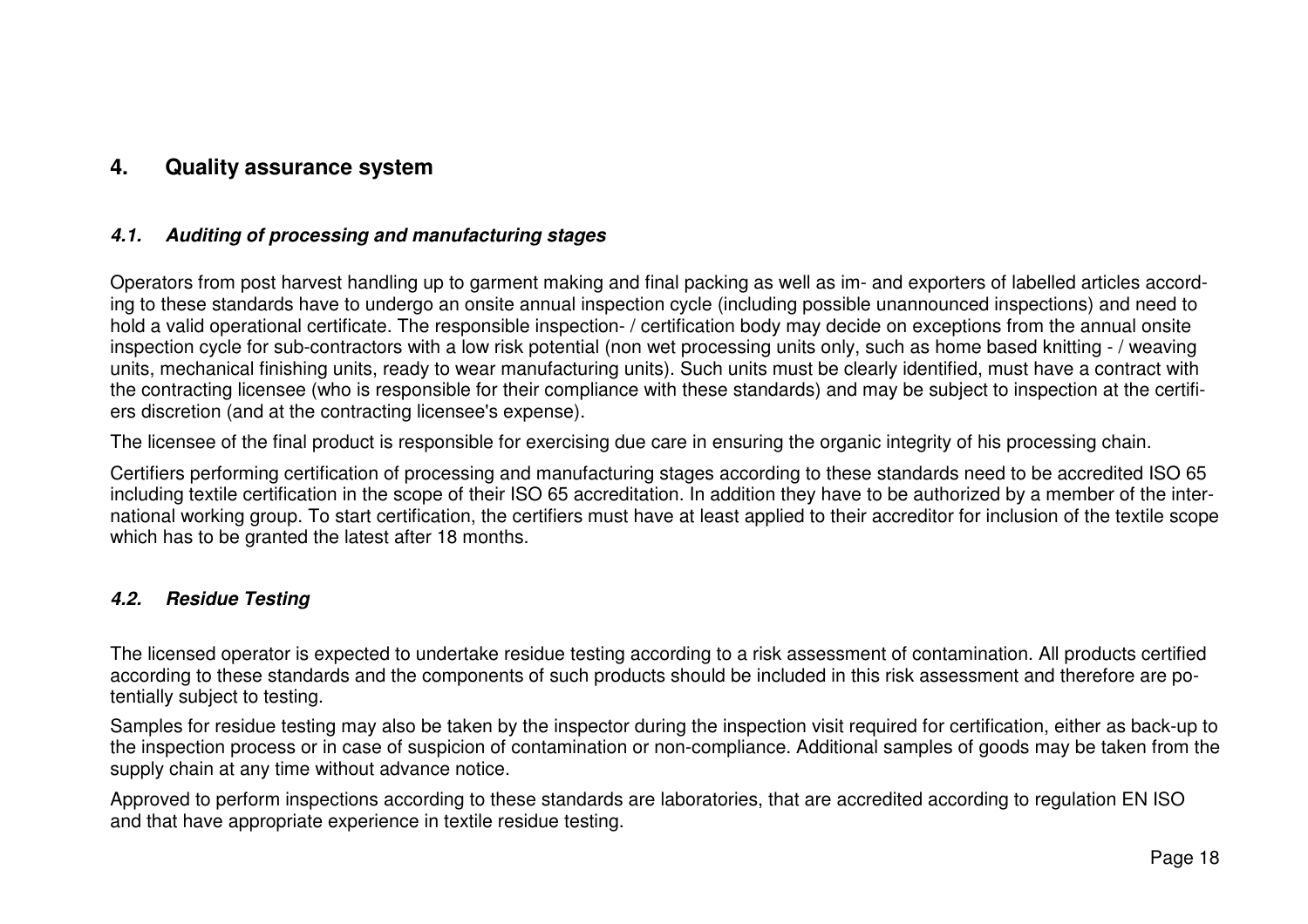# **4. Quality assurance system**

## **4.1. Auditing of processing and manufacturing stages**

Operators from post harvest handling up to garment making and final packing as well as im- and exporters of labelled articles according to these standards have to undergo an onsite annual inspection cycle (including possible unannounced inspections) and need to hold a valid operational certificate. The responsible inspection- / certification body may decide on exceptions from the annual onsite inspection cycle for sub-contractors with a low risk potential (non wet processing units only, such as home based knitting - / weaving units, mechanical finishing units, ready to wear manufacturing units). Such units must be clearly identified, must have a contract with the contracting licensee (who is responsible for their compliance with these standards) and may be subject to inspection at the certifiers discretion (and at the contracting licensee's expense).

The licensee of the final product is responsible for exercising due care in ensuring the organic integrity of his processing chain.

Certifiers performing certification of processing and manufacturing stages according to these standards need to be accredited ISO 65 including textile certification in the scope of their ISO 65 accreditation. In addition they have to be authorized by a member of the international working group. To start certification, the certifiers must have at least applied to their accreditor for inclusion of the textile scope which has to be granted the latest after 18 months.

## **4.2. Residue Testing**

The licensed operator is expected to undertake residue testing according to a risk assessment of contamination. All products certified according to these standards and the components of such products should be included in this risk assessment and therefore are potentially subject to testing.

Samples for residue testing may also be taken by the inspector during the inspection visit required for certification, either as back-up to the inspection process or in case of suspicion of contamination or non-compliance. Additional samples of goods may be taken from the supply chain at any time without advance notice.

Approved to perform inspections according to these standards are laboratories, that are accredited according to regulation EN ISO and that have appropriate experience in textile residue testing.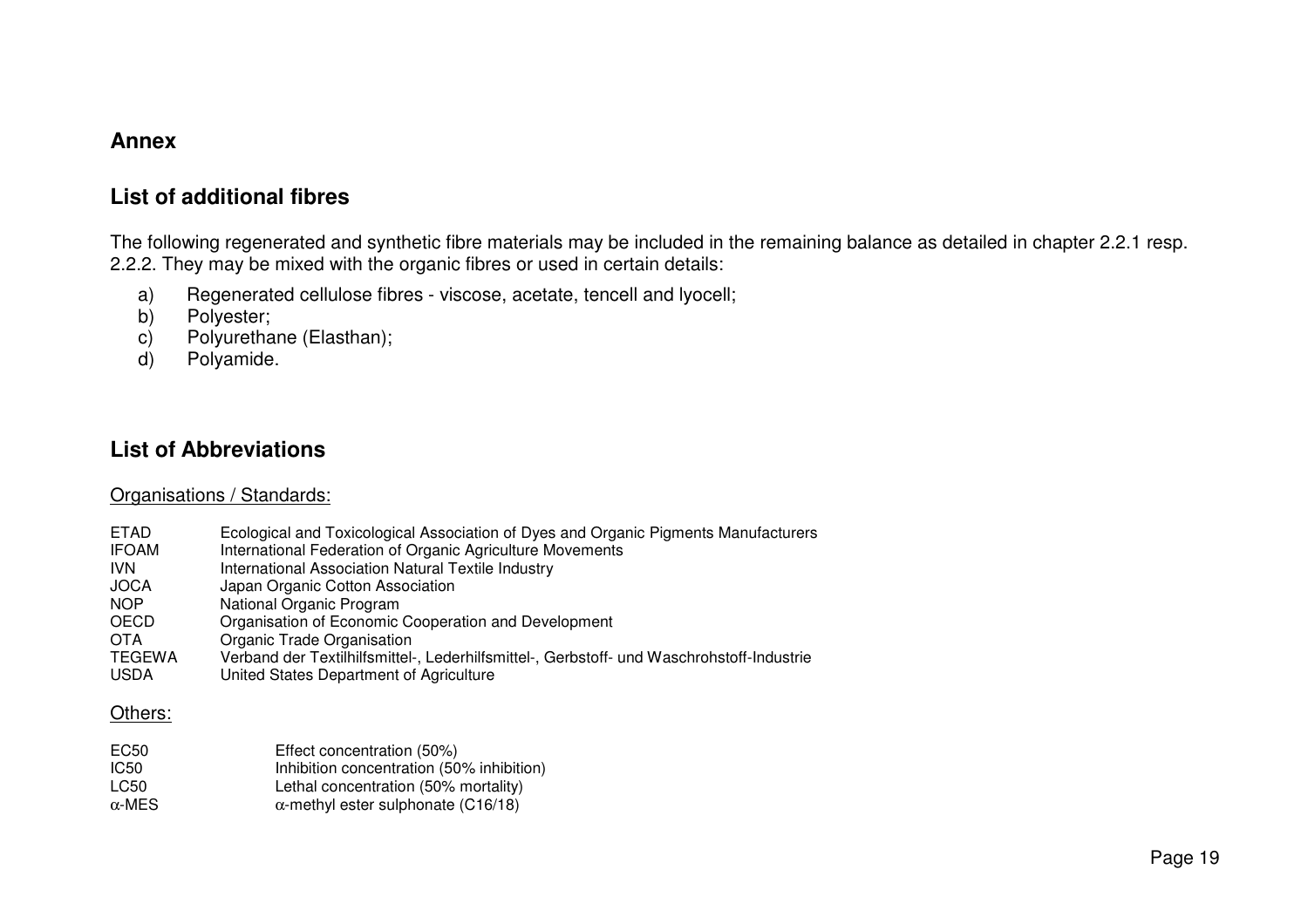# **Annex**

# **List of additional fibres**

The following regenerated and synthetic fibre materials may be included in the remaining balance as detailed in chapter 2.2.1 resp. 2.2.2. They may be mixed with the organic fibres or used in certain details:

- a) Regenerated cellulose fibres viscose, acetate, tencell and lyocell;
- b) Polyester;
- c) Polyurethane (Elasthan);
- d) Polyamide.

# **List of Abbreviations**

#### Organisations / Standards:

ETAD Ecological and Toxicological Association of Dyes and Organic Pigments Manufacturers IFOAM International Federation of Organic Agriculture Movements IVN International Association Natural Textile Industry JOCA Japan Organic Cotton Association<br>
NOP National Organic Program National Organic Program OECD Organisation of Economic Cooperation and Development OTA Organic Trade Organisation TEGEWA Verband der Textilhilfsmittel-, Lederhilfsmittel-, Gerbstoff- und Waschrohstoff-Industrie USDA United States Department of Agriculture

#### Others:

| EC50          | Effect concentration (50%)                 |
|---------------|--------------------------------------------|
| IC50          | Inhibition concentration (50% inhibition)  |
| LC50          | Lethal concentration (50% mortality)       |
| $\alpha$ -MES | $\alpha$ -methyl ester sulphonate (C16/18) |